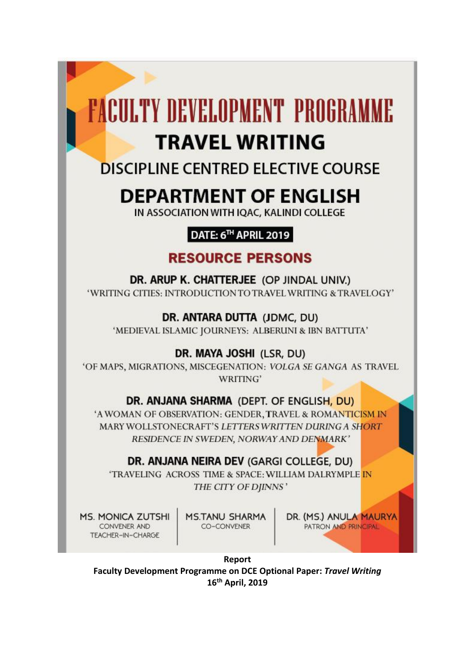# **FACULTY DEVELOPMENT PROGRAMME**

## **TRAVEL WRITING**

### **DISCIPLINE CENTRED ELECTIVE COURSE**

## **DEPARTMENT OF ENGLISH**

IN ASSOCIATION WITH IQAC, KALINDI COLLEGE

#### **DATE: 6<sup>™</sup> APRIL 2019**

#### **RESOURCE PERSONS**

DR. ARUP K. CHATTERJEE (OP JINDAL UNIV.) 'WRITING CITIES: INTRODUCTION TO TRAVEL WRITING & TRAVELOGY'

DR. ANTARA DUTTA (JDMC, DU) 'MEDIEVAL ISLAMIC JOURNEYS: ALBERUNI & IBN BATTUTA'

DR. MAYA JOSHI (LSR, DU)

'OF MAPS, MIGRATIONS, MISCEGENATION: VOLGA SE GANGA AS TRAVEL WRITING'

#### DR. ANJANA SHARMA (DEPT. OF ENGLISH, DU)

'A WOMAN OF OBSERVATION: GENDER, TRAVEL & ROMANTICISM IN MARY WOLLSTONECRAFT'S LETTERS WRITTEN DURING A SHORT RESIDENCE IN SWEDEN, NORWAY AND DENMARK'

#### DR. ANJANA NEIRA DEV (GARGI COLLEGE, DU)

'TRAVELING ACROSS TIME & SPACE: WILLIAM DALRYMPLE IN THE CITY OF DJINNS'

**MS. MONICA ZUTSHI** CONVENER AND TEACHER-IN-CHARGE

**MS.TANU SHARMA** CO-CONVENER

DR. (MS.) ANULA MAURYA PATRON AND PRINCIPAL

Report Faculty Development Programme on DCE Optional Paper: Travel Writing 16<sup>th</sup> April, 2019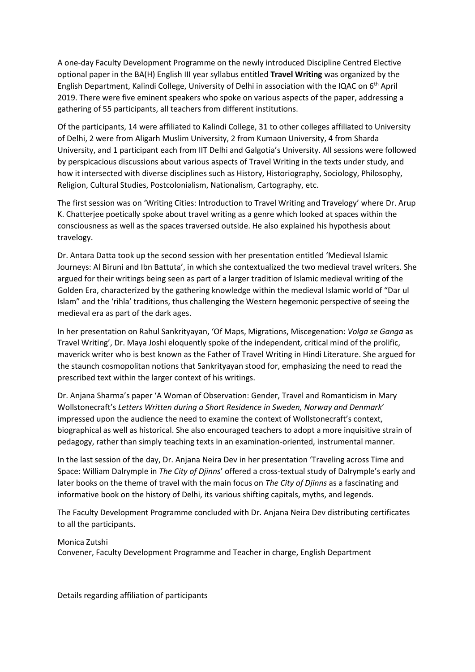A one-day Faculty Development Programme on the newly introduced Discipline Centred Elective optional paper in the BA(H) English III year syllabus entitled **Travel Writing** was organized by the English Department, Kalindi College, University of Delhi in association with the IQAC on 6th April 2019. There were five eminent speakers who spoke on various aspects of the paper, addressing a gathering of 55 participants, all teachers from different institutions.

Of the participants, 14 were affiliated to Kalindi College, 31 to other colleges affiliated to University of Delhi, 2 were from Aligarh Muslim University, 2 from Kumaon University, 4 from Sharda University, and 1 participant each from IIT Delhi and Galgotia's University. All sessions were followed by perspicacious discussions about various aspects of Travel Writing in the texts under study, and how it intersected with diverse disciplines such as History, Historiography, Sociology, Philosophy, Religion, Cultural Studies, Postcolonialism, Nationalism, Cartography, etc.

The first session was on 'Writing Cities: Introduction to Travel Writing and Travelogy' where Dr. Arup K. Chatterjee poetically spoke about travel writing as a genre which looked at spaces within the consciousness as well as the spaces traversed outside. He also explained his hypothesis about travelogy.

Dr. Antara Datta took up the second session with her presentation entitled 'Medieval Islamic Journeys: Al Biruni and Ibn Battuta', in which she contextualized the two medieval travel writers. She argued for their writings being seen as part of a larger tradition of Islamic medieval writing of the Golden Era, characterized by the gathering knowledge within the medieval Islamic world of "Dar ul Islam" and the 'rihla' traditions, thus challenging the Western hegemonic perspective of seeing the medieval era as part of the dark ages.

In her presentation on Rahul Sankrityayan, 'Of Maps, Migrations, Miscegenation: *Volga se Ganga* as Travel Writing', Dr. Maya Joshi eloquently spoke of the independent, critical mind of the prolific, maverick writer who is best known as the Father of Travel Writing in Hindi Literature. She argued for the staunch cosmopolitan notions that Sankrityayan stood for, emphasizing the need to read the prescribed text within the larger context of his writings.

Dr. Anjana Sharma's paper 'A Woman of Observation: Gender, Travel and Romanticism in Mary Wollstonecraft's *Letters Written during a Short Residence in Sweden, Norway and Denmark*' impressed upon the audience the need to examine the context of Wollstonecraft's context, biographical as well as historical. She also encouraged teachers to adopt a more inquisitive strain of pedagogy, rather than simply teaching texts in an examination-oriented, instrumental manner.

In the last session of the day, Dr. Anjana Neira Dev in her presentation 'Traveling across Time and Space: William Dalrymple in *The City of Djinns*' offered a cross-textual study of Dalrymple's early and later books on the theme of travel with the main focus on *The City of Djinns* as a fascinating and informative book on the history of Delhi, its various shifting capitals, myths, and legends.

The Faculty Development Programme concluded with Dr. Anjana Neira Dev distributing certificates to all the participants.

#### Monica Zutshi

Convener, Faculty Development Programme and Teacher in charge, English Department

Details regarding affiliation of participants